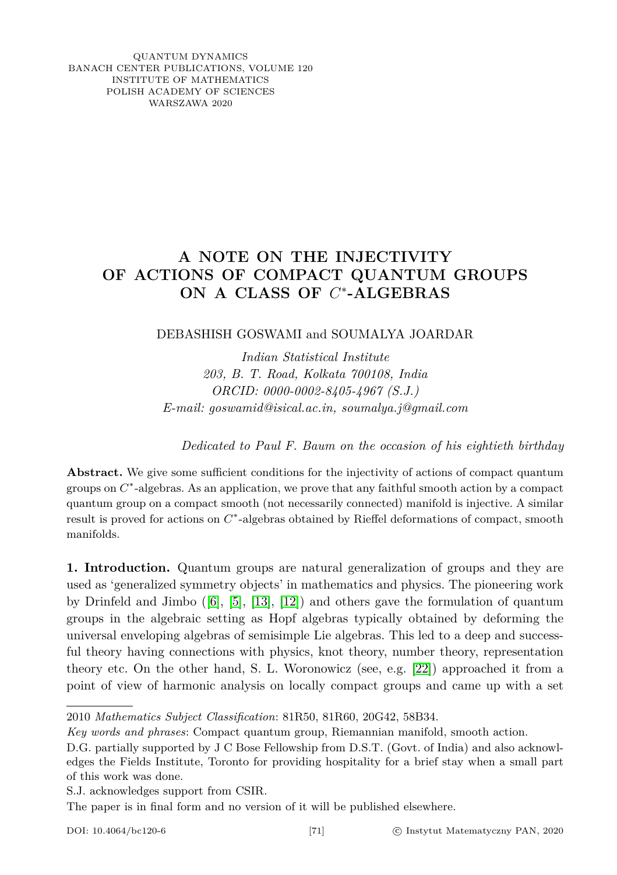<span id="page-0-0"></span>QUANTUM DYNAMICS BANACH CENTER PUBLICATIONS, VOLUME 120 INSTITUTE OF MATHEMATICS POLISH ACADEMY OF SCIENCES WARSZAWA 2020

## **A NOTE ON THE INJECTIVITY OF ACTIONS OF COMPACT QUANTUM GROUPS ON A CLASS OF** *C* ∗ **-ALGEBRAS**

## DEBASHISH GOSWAMI and SOUMALYA JOARDAR

*Indian Statistical Institute 203, B. T. Road, Kolkata 700108, India ORCID: 0000-0002-8405-4967 (S.J.) E-mail: goswamid@isical.ac.in, soumalya.j@gmail.com*

*Dedicated to Paul F. Baum on the occasion of his eightieth birthday*

Abstract. We give some sufficient conditions for the injectivity of actions of compact quantum groups on  $C^*$ -algebras. As an application, we prove that any faithful smooth action by a compact quantum group on a compact smooth (not necessarily connected) manifold is injective. A similar result is proved for actions on  $C^*$ -algebras obtained by Rieffel deformations of compact, smooth manifolds.

**1. Introduction.** Quantum groups are natural generalization of groups and they are used as 'generalized symmetry objects' in mathematics and physics. The pioneering work by Drinfeld and Jimbo ([\[6\]](#page-8-0), [\[5\]](#page-8-1), [\[13\]](#page-8-2), [\[12\]](#page-8-3)) and others gave the formulation of quantum groups in the algebraic setting as Hopf algebras typically obtained by deforming the universal enveloping algebras of semisimple Lie algebras. This led to a deep and successful theory having connections with physics, knot theory, number theory, representation theory etc. On the other hand, S. L. Woronowicz (see, e.g. [\[22\]](#page-8-4)) approached it from a point of view of harmonic analysis on locally compact groups and came up with a set

S.J. acknowledges support from CSIR.

The paper is in final form and no version of it will be published elsewhere.

<sup>2010</sup> *Mathematics Subject Classification*: 81R50, 81R60, 20G42, 58B34.

*Key words and phrases*: Compact quantum group, Riemannian manifold, smooth action.

D.G. partially supported by J C Bose Fellowship from D.S.T. (Govt. of India) and also acknowledges the Fields Institute, Toronto for providing hospitality for a brief stay when a small part of this work was done.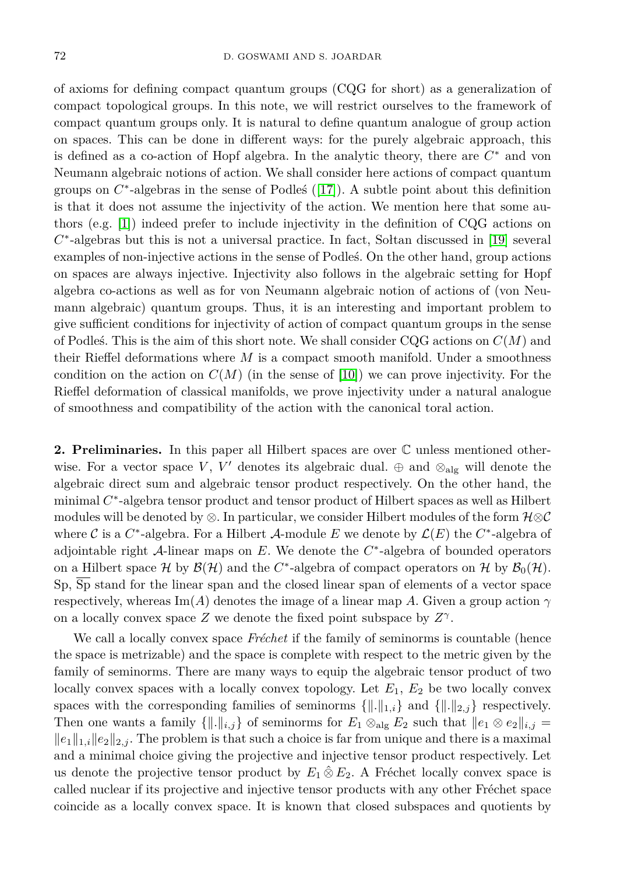of axioms for defining compact quantum groups (CQG for short) as a generalization of compact topological groups. In this note, we will restrict ourselves to the framework of compact quantum groups only. It is natural to define quantum analogue of group action on spaces. This can be done in different ways: for the purely algebraic approach, this is defined as a co-action of Hopf algebra. In the analytic theory, there are *C* <sup>∗</sup> and von Neumann algebraic notions of action. We shall consider here actions of compact quantum groups on  $C^*$ -algebras in the sense of Podles ([\[17\]](#page-0-0)). A subtle point about this definition is that it does not assume the injectivity of the action. We mention here that some authors (e.g. [\[1\]](#page-7-0)) indeed prefer to include injectivity in the definition of CQG actions on *C* ∗ -algebras but this is not a universal practice. In fact, Sołtan discussed in [\[19\]](#page-8-5) several examples of non-injective actions in the sense of Podleś. On the other hand, group actions on spaces are always injective. Injectivity also follows in the algebraic setting for Hopf algebra co-actions as well as for von Neumann algebraic notion of actions of (von Neumann algebraic) quantum groups. Thus, it is an interesting and important problem to give sufficient conditions for injectivity of action of compact quantum groups in the sense of Podleś. This is the aim of this short note. We shall consider CQG actions on *C*(*M*) and their Rieffel deformations where *M* is a compact smooth manifold. Under a smoothness condition on the action on  $C(M)$  (in the sense of [\[10\]](#page-8-6)) we can prove injectivity. For the Rieffel deformation of classical manifolds, we prove injectivity under a natural analogue of smoothness and compatibility of the action with the canonical toral action.

**2. Preliminaries.** In this paper all Hilbert spaces are over C unless mentioned otherwise. For a vector space *V*, *V'* denotes its algebraic dual.  $\oplus$  and  $\otimes$ <sub>alg</sub> will denote the algebraic direct sum and algebraic tensor product respectively. On the other hand, the minimal C<sup>\*</sup>-algebra tensor product and tensor product of Hilbert spaces as well as Hilbert modules will be denoted by ⊗. In particular, we consider Hilbert modules of the form  $\mathcal{H}\otimes\mathcal{C}$ where  $\mathcal C$  is a  $C^*$ -algebra. For a Hilbert  $\mathcal A$ -module  $E$  we denote by  $\mathcal L(E)$  the  $C^*$ -algebra of adjointable right A-linear maps on *E*. We denote the *C* ∗ -algebra of bounded operators on a Hilbert space  $\mathcal H$  by  $\mathcal B(\mathcal H)$  and the  $C^*$ -algebra of compact operators on  $\mathcal H$  by  $\mathcal B_0(\mathcal H)$ . Sp, Sp stand for the linear span and the closed linear span of elements of a vector space respectively, whereas Im(A) denotes the image of a linear map A. Given a group action  $\gamma$ on a locally convex space *Z* we denote the fixed point subspace by  $Z^{\gamma}$ .

We call a locally convex space *Fréchet* if the family of seminorms is countable (hence the space is metrizable) and the space is complete with respect to the metric given by the family of seminorms. There are many ways to equip the algebraic tensor product of two locally convex spaces with a locally convex topology. Let  $E_1, E_2$  be two locally convex spaces with the corresponding families of seminorms  $\{\|\cdot\|_{1,i}\}$  and  $\{\|\cdot\|_{2,j}\}$  respectively. Then one wants a family  $\{\|\cdot\|_{i,j}\}$  of seminorms for  $E_1 \otimes_{\text{alg}} E_2$  such that  $\|e_1 \otimes e_2\|_{i,j} =$  $||e_1||_{1,i}||e_2||_{2,i}$ . The problem is that such a choice is far from unique and there is a maximal and a minimal choice giving the projective and injective tensor product respectively. Let us denote the projective tensor product by  $E_1 \hat{\otimes} E_2$ . A Fréchet locally convex space is called nuclear if its projective and injective tensor products with any other Fréchet space coincide as a locally convex space. It is known that closed subspaces and quotients by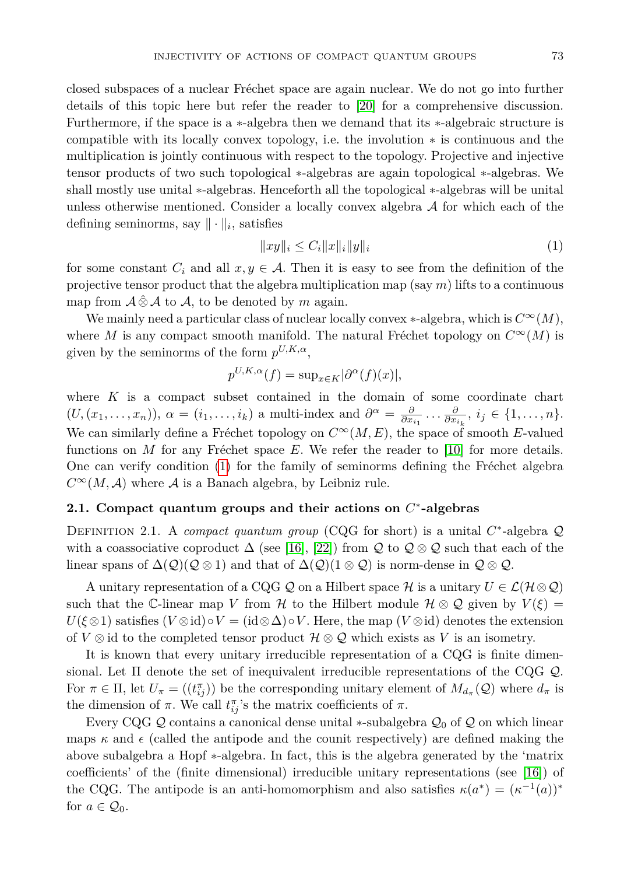closed subspaces of a nuclear Fréchet space are again nuclear. We do not go into further details of this topic here but refer the reader to [\[20\]](#page-8-7) for a comprehensive discussion. Furthermore, if the space is a ∗-algebra then we demand that its ∗-algebraic structure is compatible with its locally convex topology, i.e. the involution ∗ is continuous and the multiplication is jointly continuous with respect to the topology. Projective and injective tensor products of two such topological ∗-algebras are again topological ∗-algebras. We shall mostly use unital ∗-algebras. Henceforth all the topological ∗-algebras will be unital unless otherwise mentioned. Consider a locally convex algebra  $A$  for which each of the defining seminorms, say  $\|\cdot\|_i$ , satisfies

<span id="page-2-0"></span>
$$
||xy||_i \le C_i ||x||_i ||y||_i \tag{1}
$$

for some constant  $C_i$  and all  $x, y \in A$ . Then it is easy to see from the definition of the projective tensor product that the algebra multiplication map (say *m*) lifts to a continuous map from  $\mathcal{A} \otimes \mathcal{A}$  to  $\mathcal{A}$ , to be denoted by *m* again.

We mainly need a particular class of nuclear locally convex  $*$ -algebra, which is  $C^{\infty}(M)$ , where *M* is any compact smooth manifold. The natural Fréchet topology on  $C^{\infty}(M)$  is given by the seminorms of the form  $p^{U,K,\alpha}$ ,

$$
p^{U,K,\alpha}(f) = \sup_{x \in K} |\partial^{\alpha}(f)(x)|,
$$

where *K* is a compact subset contained in the domain of some coordinate chart  $(U,(x_1,\ldots,x_n)),\ \alpha=(i_1,\ldots,i_k)$  a multi-index and  $\partial^{\alpha}=\frac{\partial}{\partial x_{i_1}}\ldots\frac{\partial}{\partial x_{i_k}},\ i_j\in\{1,\ldots,n\}.$ We can similarly define a Fréchet topology on  $C^{\infty}(M, E)$ , the space of smooth *E*-valued functions on *M* for any Fréchet space *E*. We refer the reader to [\[10\]](#page-8-6) for more details. One can verify condition [\(1\)](#page-2-0) for the family of seminorms defining the Fréchet algebra  $C^{\infty}(M, \mathcal{A})$  where  $\mathcal A$  is a Banach algebra, by Leibniz rule.

## **2.1. Compact quantum groups and their actions on** *C* ∗ **-algebras**

DEFINITION 2.1. A *compact quantum group* (CQG for short) is a unital  $C^*$ -algebra  $\mathcal Q$ with a coassociative coproduct  $\Delta$  (see [\[16\]](#page-8-8), [\[22\]](#page-8-4)) from Q to  $\mathcal{Q} \otimes \mathcal{Q}$  such that each of the linear spans of  $\Delta(\mathcal{Q})(\mathcal{Q}\otimes 1)$  and that of  $\Delta(\mathcal{Q})(1\otimes \mathcal{Q})$  is norm-dense in  $\mathcal{Q}\otimes\mathcal{Q}$ .

A unitary representation of a CQG Q on a Hilbert space H is a unitary  $U \in \mathcal{L}(\mathcal{H}\otimes \mathcal{Q})$ such that the C-linear map *V* from H to the Hilbert module  $\mathcal{H} \otimes \mathcal{Q}$  given by  $V(\xi) =$  $U(\xi \otimes 1)$  satisfies  $(V \otimes id) \circ V = (id \otimes \Delta) \circ V$ . Here, the map  $(V \otimes id)$  denotes the extension of *V*  $\otimes$  id to the completed tensor product  $\mathcal{H} \otimes \mathcal{Q}$  which exists as *V* is an isometry.

It is known that every unitary irreducible representation of a CQG is finite dimensional. Let  $\Pi$  denote the set of inequivalent irreducible representations of the CQG  $Q$ . For  $\pi \in \Pi$ , let  $U_{\pi} = ((t_{ij}^{\pi}))$  be the corresponding unitary element of  $M_{d_{\pi}}(Q)$  where  $d_{\pi}$  is the dimension of  $\pi$ . We call  $t_{ij}^{\pi}$ 's the matrix coefficients of  $\pi$ .

Every CQG Q contains a canonical dense unital  $*$ -subalgebra  $\mathcal{Q}_0$  of Q on which linear maps  $\kappa$  and  $\epsilon$  (called the antipode and the counit respectively) are defined making the above subalgebra a Hopf ∗-algebra. In fact, this is the algebra generated by the 'matrix coefficients' of the (finite dimensional) irreducible unitary representations (see [\[16\]](#page-8-8)) of the CQG. The antipode is an anti-homomorphism and also satisfies  $\kappa(a^*) = (\kappa^{-1}(a))^*$ for  $a \in \mathcal{Q}_0$ .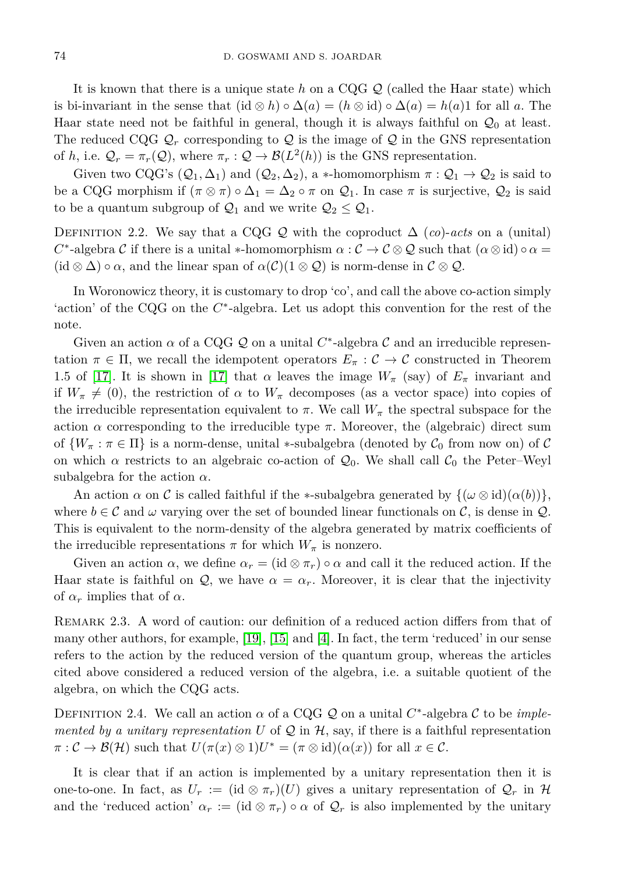It is known that there is a unique state *h* on a CQG Q (called the Haar state) which is bi-invariant in the sense that  $(id \otimes h) \circ \Delta(a) = (h \otimes id) \circ \Delta(a) = h(a)1$  for all a. The Haar state need not be faithful in general, though it is always faithful on  $\mathcal{Q}_0$  at least. The reduced CQG  $\mathcal{Q}_r$  corresponding to  $\mathcal Q$  is the image of  $\mathcal Q$  in the GNS representation of *h*, i.e.  $\mathcal{Q}_r = \pi_r(\mathcal{Q})$ , where  $\pi_r : \mathcal{Q} \to \mathcal{B}(L^2(h))$  is the GNS representation.

Given two CQG's  $(Q_1, \Delta_1)$  and  $(Q_2, \Delta_2)$ , a \*-homomorphism  $\pi : Q_1 \to Q_2$  is said to be a CQG morphism if  $(\pi \otimes \pi) \circ \Delta_1 = \Delta_2 \circ \pi$  on  $\mathcal{Q}_1$ . In case  $\pi$  is surjective,  $\mathcal{Q}_2$  is said to be a quantum subgroup of  $\mathcal{Q}_1$  and we write  $\mathcal{Q}_2 \leq \mathcal{Q}_1$ .

DEFINITION 2.2. We say that a CQG Q with the coproduct  $\Delta$  (*co*)-*acts* on a (unital) *C*<sup>\*</sup>-algebra *C* if there is a unital \*-homomorphism  $\alpha$  :  $\mathcal{C} \to \mathcal{C} \otimes \mathcal{Q}$  such that  $(\alpha \otimes id) \circ \alpha =$  $(id \otimes \Delta) \circ \alpha$ , and the linear span of  $\alpha(\mathcal{C})(1 \otimes \mathcal{Q})$  is norm-dense in  $\mathcal{C} \otimes \mathcal{Q}$ .

In Woronowicz theory, it is customary to drop 'co', and call the above co-action simply 'action' of the CQG on the  $C^*$ -algebra. Let us adopt this convention for the rest of the note.

Given an action  $\alpha$  of a CQG  $\mathcal Q$  on a unital  $C^*$ -algebra  $\mathcal C$  and an irreducible representation  $\pi \in \Pi$ , we recall the idempotent operators  $E_{\pi}: \mathcal{C} \to \mathcal{C}$  constructed in Theorem 1.5 of [\[17\]](#page-0-0). It is shown in [17] that  $\alpha$  leaves the image  $W_{\pi}$  (say) of  $E_{\pi}$  invariant and if  $W_{\pi} \neq (0)$ , the restriction of  $\alpha$  to  $W_{\pi}$  decomposes (as a vector space) into copies of the irreducible representation equivalent to  $\pi$ . We call  $W_{\pi}$  the spectral subspace for the action  $\alpha$  corresponding to the irreducible type  $\pi$ . Moreover, the (algebraic) direct sum of  $\{W_\pi : \pi \in \Pi\}$  is a norm-dense, unital \*-subalgebra (denoted by  $C_0$  from now on) of C on which  $\alpha$  restricts to an algebraic co-action of  $\mathcal{Q}_0$ . We shall call  $\mathcal{C}_0$  the Peter–Weyl subalgebra for the action  $\alpha$ .

An action  $\alpha$  on C is called faithful if the \*-subalgebra generated by  $\{\omega \otimes id\}(\alpha(b))\}$ , where  $b \in \mathcal{C}$  and  $\omega$  varying over the set of bounded linear functionals on  $\mathcal{C}$ , is dense in  $\mathcal{Q}$ . This is equivalent to the norm-density of the algebra generated by matrix coefficients of the irreducible representations  $\pi$  for which  $W_{\pi}$  is nonzero.

Given an action  $\alpha$ , we define  $\alpha_r = (\mathrm{id} \otimes \pi_r) \circ \alpha$  and call it the reduced action. If the Haar state is faithful on  $Q$ , we have  $\alpha = \alpha_r$ . Moreover, it is clear that the injectivity of  $\alpha_r$  implies that of  $\alpha$ .

REMARK 2.3. A word of caution: our definition of a reduced action differs from that of many other authors, for example,  $[19]$ ,  $[15]$  and  $[4]$ . In fact, the term 'reduced' in our sense refers to the action by the reduced version of the quantum group, whereas the articles cited above considered a reduced version of the algebra, i.e. a suitable quotient of the algebra, on which the CQG acts.

DEFINITION 2.4. We call an action  $\alpha$  of a CQG Q on a unital  $C^*$ -algebra C to be *implemented by a unitary representation*  $U$  of  $\mathcal Q$  in  $\mathcal H$ , say, if there is a faithful representation  $\pi: \mathcal{C} \to \mathcal{B}(\mathcal{H})$  such that  $U(\pi(x) \otimes 1)U^* = (\pi \otimes id)(\alpha(x))$  for all  $x \in \mathcal{C}$ .

It is clear that if an action is implemented by a unitary representation then it is one-to-one. In fact, as  $U_r := (\mathrm{id} \otimes \pi_r)(U)$  gives a unitary representation of  $\mathcal{Q}_r$  in  $\mathcal{H}$ and the 'reduced action'  $\alpha_r := (\mathrm{id} \otimes \pi_r) \circ \alpha$  of  $\mathcal{Q}_r$  is also implemented by the unitary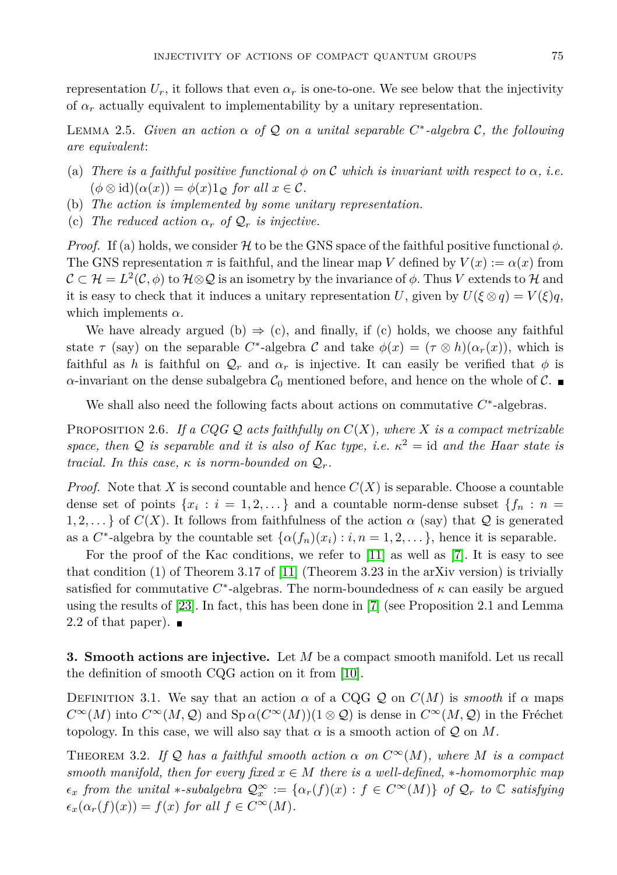representation  $U_r$ , it follows that even  $\alpha_r$  is one-to-one. We see below that the injectivity of  $\alpha_r$  actually equivalent to implementability by a unitary representation.

<span id="page-4-2"></span>LEMMA 2.5. *Given an action*  $\alpha$  *of*  $\mathcal Q$  *on a unital separable*  $C^*$ -algebra  $\mathcal C$ *, the following are equivalent*:

- (a) *There is a faithful positive functional*  $\phi$  *on*  $\mathcal C$  *which is invariant with respect to*  $\alpha$ *, i.e.*  $(\phi \otimes id)(\alpha(x)) = \phi(x)1_{\mathcal{O}}$  *for all*  $x \in \mathcal{C}$ *.*
- (b) *The action is implemented by some unitary representation.*
- (c) The reduced action  $\alpha_r$  of  $\mathcal{Q}_r$  is injective.

*Proof.* If (a) holds, we consider H to be the GNS space of the faithful positive functional  $\phi$ . The GNS representation  $\pi$  is faithful, and the linear map *V* defined by  $V(x) := \alpha(x)$  from  $\mathcal{C} \subset \mathcal{H} = L^2(\mathcal{C}, \phi)$  to  $\mathcal{H} \otimes \mathcal{Q}$  is an isometry by the invariance of  $\phi$ . Thus  $V$  extends to  $\mathcal{H}$  and it is easy to check that it induces a unitary representation *U*, given by  $U(\xi \otimes q) = V(\xi)q$ , which implements  $\alpha$ .

We have already argued (b)  $\Rightarrow$  (c), and finally, if (c) holds, we choose any faithful state  $\tau$  (say) on the separable *C*<sup>\*</sup>-algebra *C* and take  $\phi(x) = (\tau \otimes h)(\alpha_r(x))$ , which is faithful as *h* is faithful on  $Q_r$  and  $\alpha_r$  is injective. It can easily be verified that  $\phi$  is *α*-invariant on the dense subalgebra  $C_0$  mentioned before, and hence on the whole of  $C$ .

We shall also need the following facts about actions on commutative  $C^*$ -algebras.

<span id="page-4-0"></span>PROPOSITION 2.6. If a  $CQGQ$  acts faithfully on  $C(X)$ , where X is a compact metrizable *space, then*  $Q$  *is separable and it is also of Kac type, i.e.*  $\kappa^2 =$  id *and the Haar state is tracial.* In this case,  $\kappa$  *is norm-bounded on*  $Q_r$ .

*Proof.* Note that X is second countable and hence  $C(X)$  is separable. Choose a countable dense set of points  $\{x_i : i = 1, 2, \ldots\}$  and a countable norm-dense subset  $\{f_n : n =$ 1, 2, ... } of  $C(X)$ . It follows from faithfulness of the action  $\alpha$  (say) that Q is generated as a  $C^*$ -algebra by the countable set  $\{\alpha(f_n)(x_i) : i, n = 1, 2, \dots\}$ , hence it is separable.

For the proof of the Kac conditions, we refer to [\[11\]](#page-8-11) as well as [\[7\]](#page-8-12). It is easy to see that condition (1) of Theorem 3.17 of [\[11\]](#page-8-11) (Theorem 3.23 in the arXiv version) is trivially satisfied for commutative  $C^*$ -algebras. The norm-boundedness of  $\kappa$  can easily be argued using the results of [\[23\]](#page-8-13). In fact, this has been done in [\[7\]](#page-8-12) (see Proposition 2.1 and Lemma 2.2 of that paper).  $\blacksquare$ 

**3. Smooth actions are injective.** Let *M* be a compact smooth manifold. Let us recall the definition of smooth CQG action on it from [\[10\]](#page-8-6).

DEFINITION 3.1. We say that an action  $\alpha$  of a CQG Q on  $C(M)$  is *smooth* if  $\alpha$  maps  $C^{\infty}(M)$  into  $C^{\infty}(M, \mathcal{Q})$  and  $Sp \alpha(C^{\infty}(M))(1 \otimes \mathcal{Q})$  is dense in  $C^{\infty}(M, \mathcal{Q})$  in the Fréchet topology. In this case, we will also say that  $\alpha$  is a smooth action of  $\mathcal Q$  on  $M$ .

<span id="page-4-1"></span>THEOREM 3.2. If  $\mathcal{Q}$  has a faithful smooth action  $\alpha$  on  $C^{\infty}(M)$ , where M is a compact *smooth manifold, then for every fixed*  $x \in M$  *there is a well-defined,* \**-homomorphic map*  $\epsilon_x$  *from the unital* \*-*subalgebra*  $\mathcal{Q}_x^{\infty} := {\alpha_r(f)(x) : f \in C^{\infty}(M)}$  *of*  $\mathcal{Q}_r$  *to*  $\mathbb{C}$  *satisfying*  $\epsilon_x(\alpha_r(f)(x)) = f(x)$  *for all*  $f \in C^\infty(M)$ *.*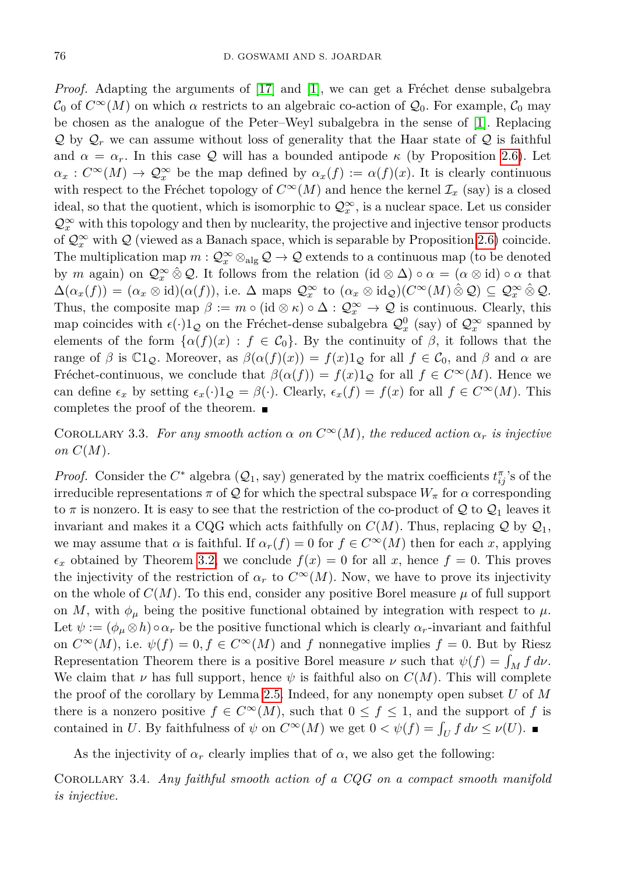*Proof.* Adapting the arguments of [\[17\]](#page-0-0) and [\[1\]](#page-7-0), we can get a Fréchet dense subalgebra  $\mathcal{C}_0$  of  $C^{\infty}(M)$  on which  $\alpha$  restricts to an algebraic co-action of  $\mathcal{Q}_0$ . For example,  $\mathcal{C}_0$  may be chosen as the analogue of the Peter–Weyl subalgebra in the sense of [\[1\]](#page-7-0). Replacing  $Q$  by  $Q_r$  we can assume without loss of generality that the Haar state of  $Q$  is faithful and  $\alpha = \alpha_r$ . In this case Q will has a bounded antipode  $\kappa$  (by Proposition [2.6\)](#page-4-0). Let  $\alpha_x : C^{\infty}(M) \to \mathcal{Q}_x^{\infty}$  be the map defined by  $\alpha_x(f) := \alpha(f)(x)$ . It is clearly continuous with respect to the Fréchet topology of  $C^{\infty}(M)$  and hence the kernel  $\mathcal{I}_x$  (say) is a closed ideal, so that the quotient, which is isomorphic to  $\mathcal{Q}^{\infty}_x$ , is a nuclear space. Let us consider  $\mathcal{Q}^\infty_x$  with this topology and then by nuclearity, the projective and injective tensor products of  $\mathcal{Q}_x^{\infty}$  with  $\mathcal Q$  (viewed as a Banach space, which is separable by Proposition [2.6\)](#page-4-0) coincide. The multiplication map  $m: \mathcal{Q}_x^{\infty} \otimes_{\text{alg}} \mathcal{Q} \to \mathcal{Q}$  extends to a continuous map (to be denoted by *m* again) on  $\mathcal{Q}_x^{\infty} \hat{\otimes} \mathcal{Q}$ . It follows from the relation (id  $\otimes \Delta$ ) ∘  $\alpha = (\alpha \otimes id) \circ \alpha$  that  $\Delta(\alpha_x(f)) = (\alpha_x \otimes id)(\alpha(f)),$  i.e.  $\Delta$  maps  $\mathcal{Q}_x^{\infty}$  to  $(\alpha_x \otimes id_{\mathcal{Q}})(C^{\infty}(M) \hat{\otimes} \mathcal{Q}) \subseteq \mathcal{Q}_x^{\infty} \hat{\otimes} \mathcal{Q}.$ Thus, the composite map  $\beta := m \circ (\text{id} \otimes \kappa) \circ \Delta : \mathcal{Q}_x^{\infty} \to \mathcal{Q}$  is continuous. Clearly, this map coincides with  $\epsilon(\cdot)1_Q$  on the Fréchet-dense subalgebra  $\mathcal{Q}_x^0$  (say) of  $\mathcal{Q}_x^{\infty}$  spanned by elements of the form  $\{\alpha(f)(x): f \in C_0\}$ . By the continuity of  $\beta$ , it follows that the range of  $\beta$  is  $\mathbb{C}_{1,\mathcal{Q}}$ . Moreover, as  $\beta(\alpha(f)(x)) = f(x)1_{\mathcal{Q}}$  for all  $f \in \mathcal{C}_0$ , and  $\beta$  and  $\alpha$  are Fréchet-continuous, we conclude that  $\beta(\alpha(f)) = f(x)1_Q$  for all  $f \in C^{\infty}(M)$ . Hence we can define  $\epsilon_x$  by setting  $\epsilon_x(\cdot)1_Q = \beta(\cdot)$ . Clearly,  $\epsilon_x(f) = f(x)$  for all  $f \in C^{\infty}(M)$ . This completes the proof of the theorem.  $\blacksquare$ 

<span id="page-5-0"></span>COROLLARY 3.3. For any smooth action  $\alpha$  on  $C^{\infty}(M)$ , the reduced action  $\alpha_r$  is injective *on*  $C(M)$ .

*Proof.* Consider the  $C^*$  algebra  $(Q_1, say)$  generated by the matrix coefficients  $t_{ij}^{\pi}$ 's of the irreducible representations  $\pi$  of Q for which the spectral subspace  $W_{\pi}$  for  $\alpha$  corresponding to  $\pi$  is nonzero. It is easy to see that the restriction of the co-product of Q to  $\mathcal{Q}_1$  leaves it invariant and makes it a CQG which acts faithfully on  $C(M)$ . Thus, replacing Q by  $\mathcal{Q}_1$ , we may assume that  $\alpha$  is faithful. If  $\alpha_r(f) = 0$  for  $f \in C^{\infty}(M)$  then for each *x*, applying  $\epsilon_x$  obtained by Theorem [3.2,](#page-4-1) we conclude  $f(x) = 0$  for all x, hence  $f = 0$ . This proves the injectivity of the restriction of  $\alpha_r$  to  $C^{\infty}(M)$ . Now, we have to prove its injectivity on the whole of  $C(M)$ . To this end, consider any positive Borel measure  $\mu$  of full support on *M*, with  $\phi_{\mu}$  being the positive functional obtained by integration with respect to  $\mu$ . Let  $\psi := (\phi_{\mu} \otimes h) \circ \alpha_r$  be the positive functional which is clearly  $\alpha_r$ -invariant and faithful on  $C^{\infty}(M)$ , i.e.  $\psi(f) = 0, f \in C^{\infty}(M)$  and f nonnegative implies  $f = 0$ . But by Riesz Representation Theorem there is a positive Borel measure  $\nu$  such that  $\psi(f) = \int_M f \, d\nu$ . We claim that  $\nu$  has full support, hence  $\psi$  is faithful also on  $C(M)$ . This will complete the proof of the corollary by Lemma [2.5.](#page-4-2) Indeed, for any nonempty open subset *U* of *M* there is a nonzero positive  $f \in C^{\infty}(M)$ , such that  $0 \leq f \leq 1$ , and the support of *f* is contained in *U*. By faithfulness of  $\psi$  on  $C^{\infty}(M)$  we get  $0 < \psi(f) = \int_U f d\nu \le \nu(U)$ .

As the injectivity of  $\alpha_r$  clearly implies that of  $\alpha$ , we also get the following:

Corollary 3.4. *Any faithful smooth action of a CQG on a compact smooth manifold is injective.*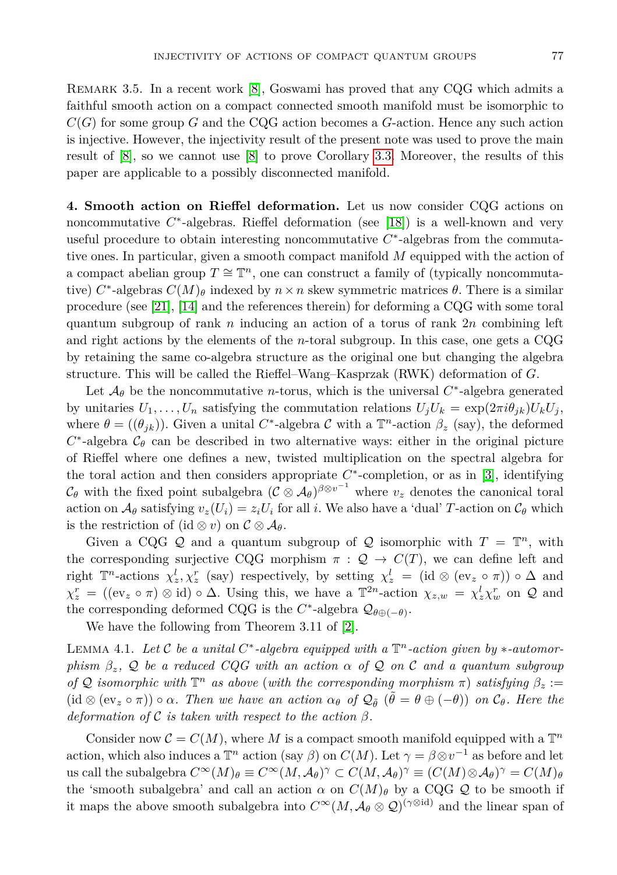REMARK 3.5. In a recent work  $[8]$ , Goswami has proved that any CQG which admits a faithful smooth action on a compact connected smooth manifold must be isomorphic to  $C(G)$  for some group *G* and the CQG action becomes a *G*-action. Hence any such action is injective. However, the injectivity result of the present note was used to prove the main result of [\[8\]](#page-8-14), so we cannot use [\[8\]](#page-8-14) to prove Corollary [3.3.](#page-5-0) Moreover, the results of this paper are applicable to a possibly disconnected manifold.

**4. Smooth action on Rieffel deformation.** Let us now consider CQG actions on noncommutative C<sup>\*</sup>-algebras. Rieffel deformation (see [\[18\]](#page-8-15)) is a well-known and very useful procedure to obtain interesting noncommutative *C* ∗ -algebras from the commutative ones. In particular, given a smooth compact manifold *M* equipped with the action of a compact abelian group  $T \cong \mathbb{T}^n$ , one can construct a family of (typically noncommutative)  $C^*$ -algebras  $C(M)_{\theta}$  indexed by  $n \times n$  skew symmetric matrices  $\theta$ . There is a similar procedure (see [\[21\]](#page-8-16), [\[14\]](#page-8-17) and the references therein) for deforming a CQG with some toral quantum subgroup of rank *n* inducing an action of a torus of rank 2*n* combining left and right actions by the elements of the *n*-toral subgroup. In this case, one gets a CQG by retaining the same co-algebra structure as the original one but changing the algebra structure. This will be called the Rieffel–Wang–Kasprzak (RWK) deformation of *G*.

Let  $\mathcal{A}_{\theta}$  be the noncommutative *n*-torus, which is the universal  $C^*$ -algebra generated by unitaries  $U_1, \ldots, U_n$  satisfying the commutation relations  $U_j U_k = \exp(2\pi i \theta_{jk}) U_k U_j$ , where  $\theta = ((\theta_{jk}))$ . Given a unital *C*<sup>\*</sup>-algebra *C* with a  $\mathbb{T}^n$ -action  $\beta_z$  (say), the deformed  $C^*$ -algebra  $\mathcal{C}_{\theta}$  can be described in two alternative ways: either in the original picture of Rieffel where one defines a new, twisted multiplication on the spectral algebra for the toral action and then considers appropriate  $C^*$ -completion, or as in [\[3\]](#page-8-18), identifying  $\mathcal{C}_{\theta}$  with the fixed point subalgebra  $(\mathcal{C} \otimes \mathcal{A}_{\theta})^{\beta \otimes v^{-1}}$  where  $v_z$  denotes the canonical toral action on  $\mathcal{A}_{\theta}$  satisfying  $v_z(U_i) = z_i U_i$  for all *i*. We also have a 'dual' *T*-action on  $\mathcal{C}_{\theta}$  which is the restriction of  $(id \otimes v)$  on  $\mathcal{C} \otimes \mathcal{A}_{\theta}$ .

Given a CQG Q and a quantum subgroup of Q isomorphic with  $T = \mathbb{T}^n$ , with the corresponding surjective CQG morphism  $\pi$  :  $\mathcal{Q} \to C(T)$ , we can define left and right  $\mathbb{T}^n$ -actions  $\chi^l_z, \chi^r_z$  (say) respectively, by setting  $\chi^l_z = (\mathrm{id} \otimes (\mathrm{ev}_z \circ \pi)) \circ \Delta$  and  $\chi^r_z = ((ev_z \circ \pi) \otimes id) \circ \Delta$ . Using this, we have a  $\mathbb{T}^{2n}$ -action  $\chi_{z,w} = \chi^l_z \chi^r_w$  on Q and the corresponding deformed CQG is the  $C^*$ -algebra  $\mathcal{Q}_{\theta \oplus (-\theta)}$ .

We have the following from Theorem 3.11 of [\[2\]](#page-7-1).

LEMMA 4.1. Let C be a unital  $C^*$ -algebra equipped with a  $\mathbb{T}^n$ -action given by  $*$ -automor*phism*  $\beta_z$ ,  $\mathcal{Q}$  *be a reduced CQG with an action*  $\alpha$  *of*  $\mathcal{Q}$  *on* C *and a quantum subgroup of*  $Q$  *isomorphic with*  $\mathbb{T}^n$  *as above* (*with the corresponding morphism*  $\pi$ ) *satisfying*  $\beta_z$  :=  $(id \otimes (ev_z \circ \pi)) \circ \alpha$ *. Then we have an action*  $\alpha_{\theta}$  *of*  $\mathcal{Q}_{\tilde{\theta}}$   $(\tilde{\theta} = \theta \oplus (-\theta))$  *on*  $\mathcal{C}_{\theta}$ *. Here the deformation of*  $\mathcal C$  *is taken with respect to the action*  $\beta$ *.* 

Consider now  $\mathcal{C} = C(M)$ , where M is a compact smooth manifold equipped with a  $\mathbb{T}^n$ action, which also induces a  $\mathbb{T}^n$  action (say *β*) on  $C(M)$ . Let  $\gamma = \beta \otimes v^{-1}$  as before and let  $\text{u}$ s call the subalgebra  $C^{\infty}(M)_{\theta} \equiv C^{\infty}(M, \mathcal{A}_{\theta})^{\gamma} \subset C(M, \mathcal{A}_{\theta})^{\gamma} \equiv (C(M) \otimes \mathcal{A}_{\theta})^{\gamma} = C(M)_{\theta}$ the 'smooth subalgebra' and call an action  $\alpha$  on  $C(M)_{\theta}$  by a CQG Q to be smooth if it maps the above smooth subalgebra into  $C^{\infty}(M, \mathcal{A}_{\theta} \otimes \mathcal{Q})^{(\gamma \otimes id)}$  and the linear span of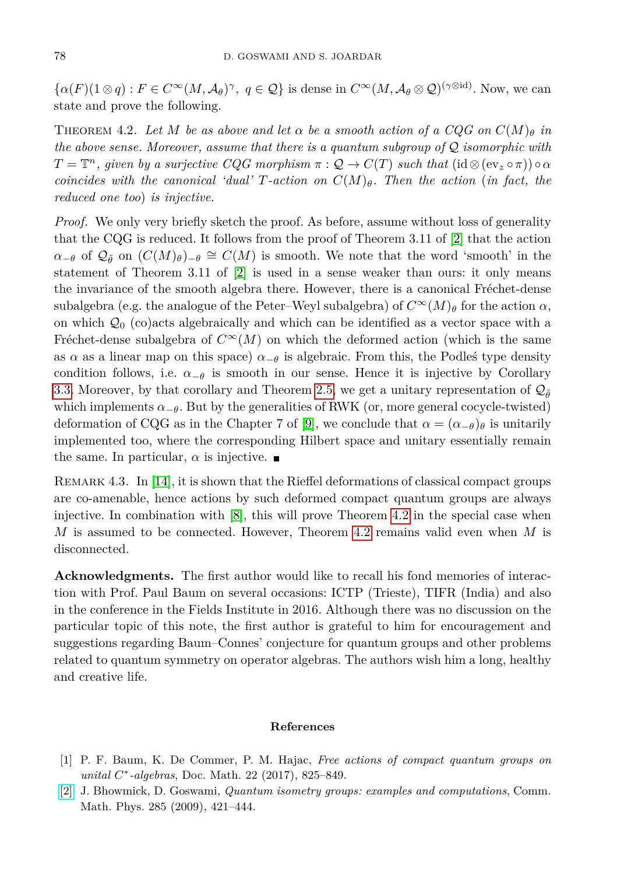$\{\alpha(F)(1 \otimes q) : F \in C^{\infty}(M, \mathcal{A}_{\theta})^{\gamma}, q \in \mathcal{Q}\}\$ is dense in  $C^{\infty}(M, \mathcal{A}_{\theta} \otimes \mathcal{Q})^{(\gamma \otimes \mathrm{id})}$ . Now, we can state and prove the following.

<span id="page-7-2"></span>THEOREM 4.2. Let M be as above and let  $\alpha$  be a smooth action of a CQG on  $C(M)_{\theta}$  in *the above sense. Moreover, assume that there is a quantum subgroup of* Q *isomorphic with*  $T = \mathbb{T}^n$ , given by a surjective  $CQG$  morphism  $\pi : \mathcal{Q} \to C(T)$  such that  $(\mathrm{id} \otimes (\mathrm{ev}_z \circ \pi)) \circ \alpha$ *coincides with the canonical 'dual' T-action on C*(*M*)*θ. Then the action* (*in fact, the reduced one too*) *is injective.*

*Proof.* We only very briefly sketch the proof. As before, assume without loss of generality that the CQG is reduced. It follows from the proof of Theorem 3.11 of [\[2\]](#page-7-1) that the action  $\alpha_{-\theta}$  of  $\mathcal{Q}_{\tilde{\theta}}$  on  $(C(M)_{\theta})_{-\theta} \cong C(M)$  is smooth. We note that the word 'smooth' in the statement of Theorem 3.11 of [\[2\]](#page-7-1) is used in a sense weaker than ours: it only means the invariance of the smooth algebra there. However, there is a canonical Fréchet-dense subalgebra (e.g. the analogue of the Peter–Weyl subalgebra) of  $C^{\infty}(M)_{\theta}$  for the action  $\alpha$ , on which  $\mathcal{Q}_0$  (co)acts algebraically and which can be identified as a vector space with a Fréchet-dense subalgebra of  $C^{\infty}(M)$  on which the deformed action (which is the same as  $\alpha$  as a linear map on this space)  $\alpha_{-\theta}$  is algebraic. From this, the Podleś type density condition follows, i.e.  $\alpha_{-\theta}$  is smooth in our sense. Hence it is injective by Corollary [3.3.](#page-5-0) Moreover, by that corollary and Theorem [2.5,](#page-4-2) we get a unitary representation of  $\mathcal{Q}_{\tilde{\theta}}$ which implements  $\alpha_{-\theta}$ . But by the generalities of RWK (or, more general cocycle-twisted) deformation of CQG as in the Chapter 7 of [\[9\]](#page-8-19), we conclude that  $\alpha = (\alpha_{-\theta})_\theta$  is unitarily implemented too, where the corresponding Hilbert space and unitary essentially remain the same. In particular,  $\alpha$  is injective.

REMARK 4.3. In  $[14]$ , it is shown that the Rieffel deformations of classical compact groups are co-amenable, hence actions by such deformed compact quantum groups are always injective. In combination with  $[8]$ , this will prove Theorem [4.2](#page-7-2) in the special case when *M* is assumed to be connected. However, Theorem [4.2](#page-7-2) remains valid even when *M* is disconnected.

**Acknowledgments.** The first author would like to recall his fond memories of interaction with Prof. Paul Baum on several occasions: ICTP (Trieste), TIFR (India) and also in the conference in the Fields Institute in 2016. Although there was no discussion on the particular topic of this note, the first author is grateful to him for encouragement and suggestions regarding Baum–Connes' conjecture for quantum groups and other problems related to quantum symmetry on operator algebras. The authors wish him a long, healthy and creative life.

## **References**

- <span id="page-7-0"></span>[1] P. F. Baum, K. De Commer, P. M. Hajac, *Free actions of compact quantum groups on unital C* ∗ *-algebras*, Doc. Math. 22 (2017), 825–849.
- <span id="page-7-1"></span>[\[2\]](http://dx.doi.org/10.1007/s00220-008-0611-5) J. Bhowmick, D. Goswami, *Quantum isometry groups: examples and computations*, Comm. Math. Phys. 285 (2009), 421–444.